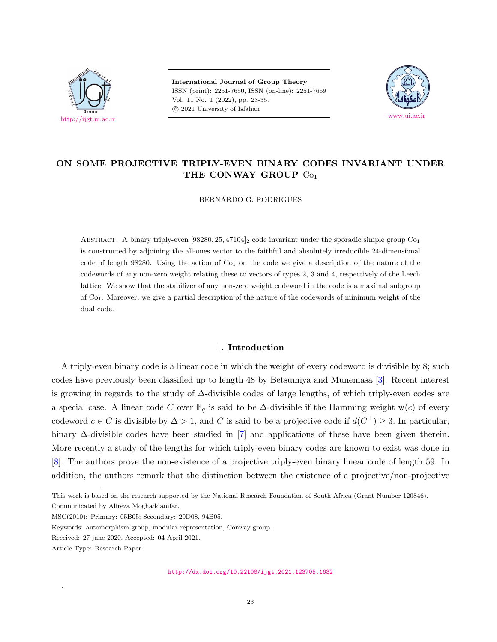

**International Journal of Group Theory** ISSN (print): 2251-7650, ISSN (on-line): 2251-7669 Vol. 11 No. 1 (2022), pp. 23-35. *⃝*c 2021 University of Isfahan



# **ON SOME PROJECTIVE TRIPLY-EVEN BINARY CODES INVARIANT UNDER THE CONWAY GROUP** Co<sup>1</sup>

BERNARDO G. RODRIGUES

ABSTRACT. A binary triply-even [98280, 25, 47104]<sub>2</sub> code invariant under the sporadic simple group Co<sub>1</sub> is constructed by adjoining the all-ones vector to the faithful and absolutely irreducible 24-dimensional code of length 98280. Using the action of  $Co<sub>1</sub>$  on the code we give a description of the nature of the codewords of any non-zero weight relating these to vectors of types 2, 3 and 4, respectively of the Leech lattice. We show that the stabilizer of any non-zero weight codeword in the code is a maximal subgroup of Co1. Moreover, we give a partial description of the nature of the codewords of minimum weight of the dual code.

### 1. **Introduction**

<span id="page-0-0"></span>A triply-even binary code is a linear code in which the weight of every codeword is divisible by 8; such codes have previously been classified up to length 48 by Betsumiya and Munemasa [[3](#page-11-0)]. Recent interest is growing in regards to the study of ∆-divisible codes of large lengths, of which triply-even codes are a special case. A linear code *C* over  $\mathbb{F}_q$  is said to be  $\Delta$ -divisible if the Hamming weight w(*c*) of every codeword  $c \in C$  is divisible by  $\Delta > 1$ , and *C* is said to be a projective code if  $d(C^{\perp}) \geq 3$ . In particular, binary ∆-divisible codes have been studied in [[7\]](#page-11-1) and applications of these have been given therein. More recently a study of the lengths for which triply-even binary codes are known to exist was done in [[8\]](#page-11-2). The authors prove the non-existence of a projective triply-even binary linear code of length 59. In addition, the authors remark that the distinction between the existence of a projective/non-projective

.

<http://dx.doi.org/10.22108/ijgt.2021.123705.1632>

This work is based on the research supported by the National Research Foundation of South Africa (Grant Number 120846). Communicated by Alireza Moghaddamfar.

MSC(2010): Primary: 05B05; Secondary: 20D08, 94B05.

Keywords: automorphism group, modular representation, Conway group.

Received: 27 june 2020, Accepted: 04 April 2021.

Article Type: Research Paper.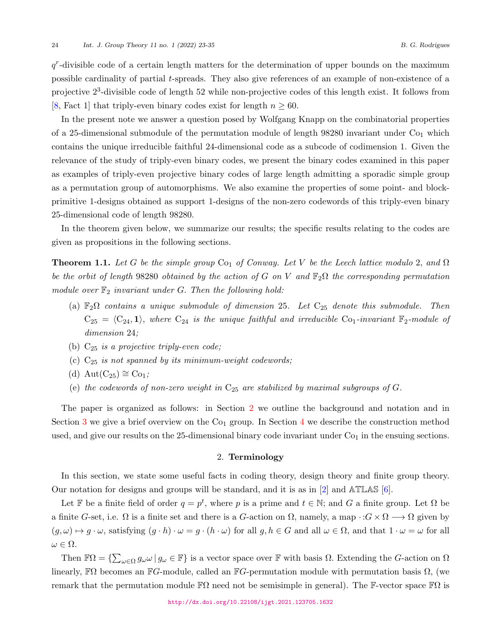*q r* -divisible code of a certain length matters for the determination of upper bounds on the maximum possible cardinality of partial *t*-spreads. They also give references of an example of non-existence of a projective 2<sup>3</sup>-divisible code of length 52 while non-projective codes of this length exist. It follows from [[8,](#page-11-2) Fact 1] that triply-even binary codes exist for length  $n \geq 60$ .

In the present note we answer a question posed by Wolfgang Knapp on the combinatorial properties of a 25-dimensional submodule of the permutation module of length  $98280$  invariant under  $Co<sub>1</sub>$  which contains the unique irreducible faithful 24-dimensional code as a subcode of codimension 1. Given the relevance of the study of triply-even binary codes, we present the binary codes examined in this paper as examples of triply-even projective binary codes of large length admitting a sporadic simple group as a permutation group of automorphisms. We also examine the properties of some point- and blockprimitive 1-designs obtained as support 1-designs of the non-zero codewords of this triply-even binary 25-dimensional code of length 98280.

In the theorem given below, we summarize our results; the specific results relating to the codes are given as propositions in the following sections.

<span id="page-1-1"></span>**Theorem 1.1.** Let G be the simple group  $\text{Co}_1$  of Conway. Let V be the Leech lattice modulo 2, and  $\Omega$ *be the orbit of length* 98280 *obtained by the action of*  $G$  *on*  $V$  *and*  $\mathbb{F}_2\Omega$  *the corresponding permutation*  $model\ over\ \mathbb{F}_2$  invariant under  $G.$  Then the following hold:

- (a) F2Ω *contains a unique submodule of dimension* 25*. Let* C<sup>25</sup> *denote this submodule. Then*  $C_{25} = \langle C_{24}, 1 \rangle$ , where  $C_{24}$  is the unique faithful and irreducible  $C_{01}$ -invariant  $\mathbb{F}_2$ -module of *dimension* 24*;*
- (b) C<sup>25</sup> *is a projective triply-even code;*
- (c) C<sup>25</sup> *is not spanned by its minimum-weight codewords;*
- (d)  $Aut(C_{25}) \cong Co<sub>1</sub>$ ;
- (e) the codewords of non-zero weight in  $C_{25}$  are stabilized by maximal subgroups of  $G$ *.*

The paper is organized as follows: in Section [2](#page-1-0) we outline the background and notation and in Section [3](#page-3-0) we give a brief overview on the  $Co<sub>1</sub>$  group. In Section [4](#page-4-0) we describe the construction method used, and give our results on the 25-dimensional binary code invariant under  $Co<sub>1</sub>$  in the ensuing sections.

#### 2. **Terminology**

<span id="page-1-0"></span>In this section, we state some useful facts in coding theory, design theory and finite group theory. Our notation for designs and groups will be standard, and it is as in [[2](#page-11-3)] and ATLAS [\[6\]](#page-11-4).

Let F be a finite field of order  $q = p^t$ , where p is a prime and  $t \in \mathbb{N}$ ; and G a finite group. Let  $\Omega$  be a finite *G*-set, i.e.  $\Omega$  is a finite set and there is a *G*-action on  $\Omega$ , namely, a map  $\cdot$  : $G \times \Omega \longrightarrow \Omega$  given by  $(g,\omega)\mapsto g\cdot\omega$ , satisfying  $(g\cdot h)\cdot\omega=g\cdot(h\cdot\omega)$  for all  $g,h\in G$  and all  $\omega\in\Omega$ , and that  $1\cdot\omega=\omega$  for all  $ω ∈ Ω$ *.* 

Then  $\mathbb{F}\Omega = \{\sum_{\omega \in \Omega} g_{\omega} \omega \mid g_{\omega} \in \mathbb{F}\}\$  is a vector space over  $\mathbb{F}$  with basis  $\Omega$ . Extending the *G*-action on  $\Omega$ linearly, FΩ becomes an F*G*-module, called an F*G*-permutation module with permutation basis Ω*,* (we remark that the permutation module  $\mathbb{F}\Omega$  need not be semisimple in general). The F-vector space  $\mathbb{F}\Omega$  is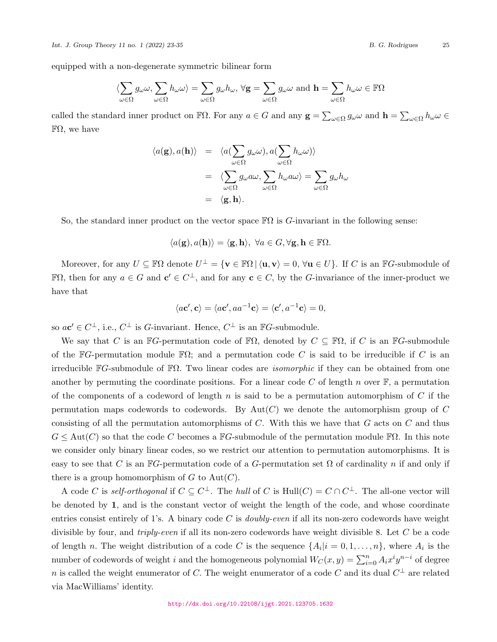equipped with a non-degenerate symmetric bilinear form

$$
\langle \sum_{\omega \in \Omega} g_{\omega} \omega, \sum_{\omega \in \Omega} h_{\omega} \omega \rangle = \sum_{\omega \in \Omega} g_{\omega} h_{\omega}, \forall \mathbf{g} = \sum_{\omega \in \Omega} g_{\omega} \omega \text{ and } \mathbf{h} = \sum_{\omega \in \Omega} h_{\omega} \omega \in \mathbb{F}\Omega
$$

called the standard inner product on  $\mathbb{F}\Omega$ . For any  $a \in G$  and any  $\mathbf{g} = \sum_{\omega \in \Omega} g_{\omega} \omega$  and  $\mathbf{h} = \sum_{\omega \in \Omega} h_{\omega} \omega \in$  $\mathbb{F}\Omega$ , we have

$$
\langle a(\mathbf{g}), a(\mathbf{h}) \rangle = \langle a(\sum_{\omega \in \Omega} g_{\omega} \omega), a(\sum_{\omega \in \Omega} h_{\omega} \omega) \rangle
$$
  

$$
= \langle \sum_{\omega \in \Omega} g_{\omega} a \omega, \sum_{\omega \in \Omega} h_{\omega} a \omega \rangle = \sum_{\omega \in \Omega} g_{\omega} h_{\omega}
$$
  

$$
= \langle \mathbf{g}, \mathbf{h} \rangle.
$$

So, the standard inner product on the vector space FΩ is *G*-invariant in the following sense:

$$
\langle a(\mathbf{g}), a(\mathbf{h}) \rangle = \langle \mathbf{g}, \mathbf{h} \rangle, \ \forall a \in G, \forall \mathbf{g}, \mathbf{h} \in \mathbb{F}\Omega.
$$

Moreover, for any  $U \subseteq \mathbb{F}\Omega$  denote  $U^{\perp} = \{ \mathbf{v} \in \mathbb{F}\Omega \mid \langle \mathbf{u}, \mathbf{v} \rangle = 0, \forall \mathbf{u} \in U \}$ . If C is an  $\mathbb{F}G$ -submodule of  $\mathbb{F}\Omega$ , then for any  $a \in G$  and  $c' \in C^{\perp}$ , and for any  $c \in C$ , by the *G*-invariance of the inner-product we have that

$$
\langle a\mathbf{c}', \mathbf{c} \rangle = \langle a\mathbf{c}', aa^{-1}\mathbf{c} \rangle = \langle \mathbf{c}', a^{-1}\mathbf{c} \rangle = 0,
$$

so  $a\mathbf{c}' \in C^{\perp}$ , i.e.,  $C^{\perp}$  is *G*-invariant. Hence,  $C^{\perp}$  is an  $\mathbb{F}G$ -submodule.

We say that *C* is an  $\mathbb{F}G$ -permutation code of  $\mathbb{F}\Omega$ , denoted by  $C \subseteq \mathbb{F}\Omega$ , if *C* is an  $\mathbb{F}G$ -submodule of the F*G*-permutation module FΩ; and a permutation code *C* is said to be irreducible if *C* is an irreducible F*G*-submodule of FΩ*.* Two linear codes are *isomorphic* if they can be obtained from one another by permuting the coordinate positions. For a linear code  $C$  of length  $n$  over  $\mathbb{F}$ , a permutation of the components of a codeword of length *n* is said to be a permutation automorphism of *C* if the permutation maps codewords to codewords. By Aut(*C*) we denote the automorphism group of *C* consisting of all the permutation automorphisms of *C*. With this we have that *G* acts on *C* and thus  $G \leq Aut(C)$  so that the code *C* becomes a FG-submodule of the permutation module FΩ. In this note we consider only binary linear codes, so we restrict our attention to permutation automorphisms. It is easy to see that *C* is an F*G*-permutation code of a *G*-permutation set  $\Omega$  of cardinality *n* if and only if there is a group homomorphism of  $G$  to  $Aut(C)$ .

A code *C* is *self-orthogonal* if  $C \subseteq C^{\perp}$ . The *hull* of *C* is  $Hull(C) = C \cap C^{\perp}$ . The all-one vector will be denoted by **1**, and is the constant vector of weight the length of the code, and whose coordinate entries consist entirely of 1's. A binary code *C* is *doubly-even* if all its non-zero codewords have weight divisible by four, and *triply-even* if all its non-zero codewords have weight divisible 8. Let *C* be a code of length *n*. The weight distribution of a code *C* is the sequence  $\{A_i | i = 0, 1, \ldots, n\}$ , where  $A_i$  is the number of codewords of weight *i* and the homogeneous polynomial  $W_C(x, y) = \sum_{i=0}^n A_i x^i y^{n-i}$  of degree *n* is called the weight enumerator of *C*. The weight enumerator of a code *C* and its dual  $C^{\perp}$  are related via MacWilliams' identity.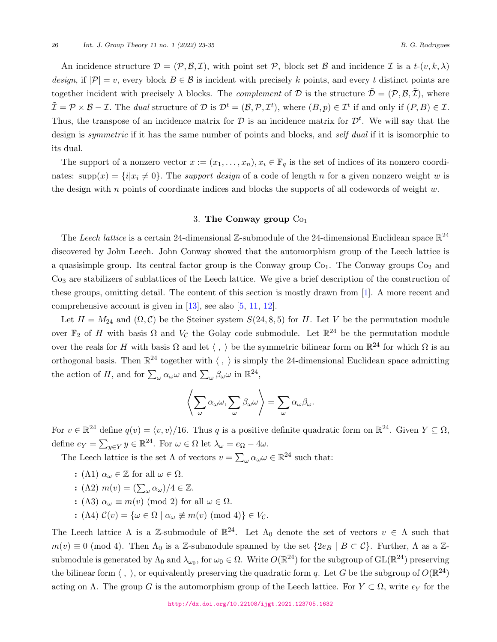An incidence structure  $\mathcal{D} = (\mathcal{P}, \mathcal{B}, \mathcal{I})$ , with point set  $\mathcal{P}$ , block set  $\mathcal{B}$  and incidence  $\mathcal{I}$  is a  $t$ - $(v, k, \lambda)$ *design*, if  $|\mathcal{P}| = v$ , every block  $B \in \mathcal{B}$  is incident with precisely k points, and every t distinct points are together incident with precisely  $\lambda$  blocks. The *complement* of  $\mathcal{D}$  is the structure  $\tilde{\mathcal{D}} = (\mathcal{P}, \mathcal{B}, \tilde{\mathcal{I}})$ , where  $\tilde{\mathcal{I}} = \mathcal{P} \times \mathcal{B} - \mathcal{I}$ . The dual structure of  $\mathcal{D}$  is  $\mathcal{D}^t = (\mathcal{B}, \mathcal{P}, \mathcal{I}^t)$ , where  $(B, p) \in \mathcal{I}^t$  if and only if  $(P, B) \in \mathcal{I}$ . Thus, the transpose of an incidence matrix for  $D$  is an incidence matrix for  $D<sup>t</sup>$ . We will say that the design is *symmetric* if it has the same number of points and blocks, and *self dual* if it is isomorphic to its dual.

The support of a nonzero vector  $x := (x_1, \ldots, x_n), x_i \in \mathbb{F}_q$  is the set of indices of its nonzero coordinates:  $\text{supp}(x) = \{i | x_i \neq 0\}$ . The *support design* of a code of length *n* for a given nonzero weight *w* is the design with *n* points of coordinate indices and blocks the supports of all codewords of weight *w.*

### 3. **The Conway group** Co<sup>1</sup>

<span id="page-3-0"></span>The *Leech lattice* is a certain 24-dimensional  $\mathbb{Z}$ -submodule of the 24-dimensional Euclidean space  $\mathbb{R}^{24}$ discovered by John Leech. John Conway showed that the automorphism group of the Leech lattice is a quasisimple group. Its central factor group is the Conway group  $Co<sub>1</sub>$ . The Conway groups  $Co<sub>2</sub>$  and Co<sup>3</sup> are stabilizers of sublattices of the Leech lattice. We give a brief description of the construction of these groups, omitting detail. The content of this section is mostly drawn from [[1\]](#page-11-5). A more recent and comprehensive account is given in  $[13]$  $[13]$ , see also  $[5, 11, 12]$  $[5, 11, 12]$  $[5, 11, 12]$  $[5, 11, 12]$  $[5, 11, 12]$  $[5, 11, 12]$ .

Let  $H = M_{24}$  and  $(\Omega, \mathcal{C})$  be the Steiner system  $S(24, 8, 5)$  for *H*. Let *V* be the permutation module over  $\mathbb{F}_2$  of *H* with basis  $\Omega$  and  $V_C$  the Golay code submodule. Let  $\mathbb{R}^{24}$  be the permutation module over the reals for *H* with basis  $\Omega$  and let  $\langle , \rangle$  be the symmetric bilinear form on  $\mathbb{R}^{24}$  for which  $\Omega$  is an orthogonal basis. Then  $\mathbb{R}^{24}$  together with  $\langle , \rangle$  is simply the 24-dimensional Euclidean space admitting the action of *H*, and for  $\sum_{\omega} \alpha_{\omega} \omega$  and  $\sum_{\omega} \beta_{\omega} \omega$  in  $\mathbb{R}^{24}$ ,

$$
\left\langle \sum_{\omega} \alpha_{\omega} \omega, \sum_{\omega} \beta_{\omega} \omega \right\rangle = \sum_{\omega} \alpha_{\omega} \beta_{\omega}.
$$

For  $v \in \mathbb{R}^{24}$  define  $q(v) = \langle v, v \rangle / 16$ . Thus *q* is a positive definite quadratic form on  $\mathbb{R}^{24}$ . Given  $Y \subseteq \Omega$ , define  $e_Y = \sum_{y \in Y} y \in \mathbb{R}^{24}$ . For  $\omega \in \Omega$  let  $\lambda_\omega = e_\Omega - 4\omega$ .

The Leech lattice is the set  $\Lambda$  of vectors  $v = \sum_{\omega} \alpha_{\omega} \omega \in \mathbb{R}^{24}$  such that:

- **:** ( $\Lambda$ 1)  $\alpha$ <sub>ω</sub>  $\in \mathbb{Z}$  for all  $\omega \in \Omega$ .
- **:**  $(\Lambda 2)$   $m(v) = (\sum_{\omega} \alpha_{\omega})/4 \in \mathbb{Z}$ .
- **:** ( $\Lambda$ 3)  $\alpha_{\omega} \equiv m(v) \pmod{2}$  for all  $\omega \in \Omega$ .
- **:**  $(A4) \mathcal{C}(v) = \{ \omega \in \Omega \mid \alpha_{\omega} \not\equiv m(v) \pmod{4} \} \in V_c.$

The Leech lattice  $\Lambda$  is a Z-submodule of  $\mathbb{R}^{24}$ . Let  $\Lambda_0$  denote the set of vectors  $v \in \Lambda$  such that  $m(v) \equiv 0 \pmod{4}$ . Then  $\Lambda_0$  is a Z-submodule spanned by the set  $\{2e_B \mid B \subset C\}$ . Further,  $\Lambda$  as a Zsubmodule is generated by  $\Lambda_0$  and  $\lambda_{\omega_0}$ , for  $\omega_0 \in \Omega$ . Write  $O(\mathbb{R}^{24})$  for the subgroup of  $\text{GL}(\mathbb{R}^{24})$  preserving the bilinear form  $\langle , \rangle$ , or equivalently preserving the quadratic form *q*. Let *G* be the subgroup of  $O(\mathbb{R}^{24})$ acting on  $\Lambda$ . The group *G* is the automorphism group of the Leech lattice. For  $Y \subset \Omega$ , write  $\epsilon_Y$  for the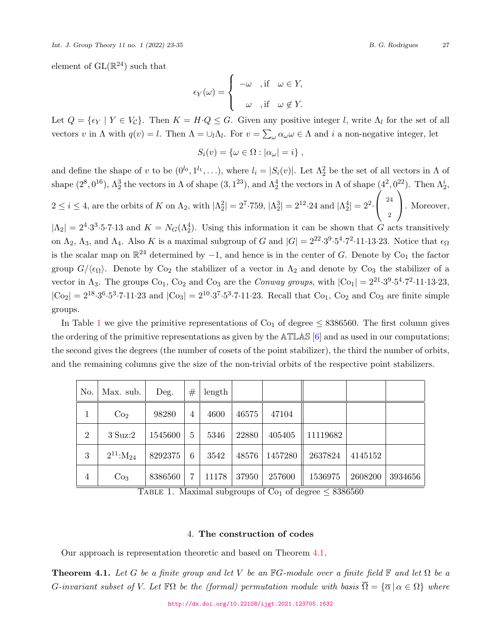*Int. J. Group Theory 11 no. 1 (2022) 23-35 B. G. Rodrigues* 27

element of  $GL(\mathbb{R}^{24})$  such that

$$
\epsilon_Y(\omega) = \begin{cases}\n-\omega, & \text{if } \omega \in Y, \\
\omega, & \text{if } \omega \notin Y.\n\end{cases}
$$

Let  $Q = \{\epsilon_Y \mid Y \in V_{\mathcal{C}}\}$ . Then  $K = H \cdot Q \leq G$ . Given any positive integer *l*, write  $\Lambda_l$  for the set of all vectors *v* in  $\Lambda$  with  $q(v) = l$ . Then  $\Lambda = \bigcup_l \Lambda_l$ . For  $v = \sum_{\omega} \alpha_{\omega} \omega \in \Lambda$  and *i* a non-negative integer, let

$$
S_i(v) = \{ \omega \in \Omega : |\alpha_\omega| = i \},
$$

and define the shape of *v* to be  $(0^{l_0}, 1^{l_1}, \ldots)$ , where  $l_i = |S_i(v)|$ . Let  $\Lambda_2^2$  be the set of all vectors in  $\Lambda$  of shape  $(2^8, 0^{16})$ ,  $\Lambda_2^3$  the vectors in  $\Lambda$  of shape  $(3, 1^{23})$ , and  $\Lambda_2^4$  the vectors in  $\Lambda$  of shape  $(4^2, 0^{22})$ . Then  $\Lambda_2^i$ ,  $2 \le i \le 4$ , are the orbits of *K* on  $\Lambda_2$ , with  $|\Lambda_2^2| = 2^7 \cdot 759$ ,  $|\Lambda_2^3| = 2^{12} \cdot 24$  and  $|\Lambda_2^4| = 2^2 \cdot$  $\sqrt{ }$  $\mathcal{L}$ 24 2  $\setminus$ . Moreover,

 $|\Lambda_2| = 2^4 \cdot 3^3 \cdot 5 \cdot 7 \cdot 13$  and  $K = N_G(\Lambda_2^4)$ . Using this information it can be shown that *G* acts transitively on  $\Lambda_2$ ,  $\Lambda_3$ , and  $\Lambda_4$ . Also *K* is a maximal subgroup of *G* and  $|G| = 2^{22} \cdot 3^9 \cdot 5^4 \cdot 7^2 \cdot 11 \cdot 13 \cdot 23$ . Notice that  $\epsilon_{\Omega}$ is the scalar map on  $\mathbb{R}^{24}$  determined by  $-1$ , and hence is in the center of *G*. Denote by Co<sub>1</sub> the factor group  $G/\langle \epsilon_{\Omega} \rangle$ . Denote by Co<sub>2</sub> the stabilizer of a vector in  $\Lambda_2$  and denote by Co<sub>3</sub> the stabilizer of a vector in  $\Lambda_3$ . The groups Co<sub>1</sub>, Co<sub>2</sub> and Co<sub>3</sub> are the *Conway groups*, with  $|C_{01}| = 2^{21} \cdot 3^9 \cdot 5^4 \cdot 7^2 \cdot 11 \cdot 13 \cdot 23$ ,  $|Co_2| = 2^{18} \cdot 3^6 \cdot 5^3 \cdot 7 \cdot 11 \cdot 23$  and  $|Co_3| = 2^{10} \cdot 3^7 \cdot 5^3 \cdot 7 \cdot 11 \cdot 23$ . Recall that  $Co_1$ ,  $Co_2$  and  $Co_3$  are finite simple groups.

In Table [1](#page-4-1) we give the primitive representations of  $\text{Co}_1$  of degree  $\leq$  8386560. The first column gives the ordering of the primitive representations as given by the ATLAS [\[6\]](#page-11-4) and as used in our computations; the second gives the degrees (the number of cosets of the point stabilizer), the third the number of orbits, and the remaining columns give the size of the non-trivial orbits of the respective point stabilizers.

| No.            | Max. sub.           | Deg.    | #              | length |       |         |          |         |         |
|----------------|---------------------|---------|----------------|--------|-------|---------|----------|---------|---------|
| 1              | Co <sub>2</sub>     | 98280   | $\overline{4}$ | 4600   | 46575 | 47104   |          |         |         |
| $\overline{2}$ | $3^{\circ}S$ uz:2   | 1545600 | $\mathbf{5}$   | 5346   | 22880 | 405405  | 11119682 |         |         |
| 3              | $2^{11}$ : $M_{24}$ | 8292375 | 6              | 3542   | 48576 | 1457280 | 2637824  | 4145152 |         |
| 4              | Co <sub>3</sub>     | 8386560 |                | 11178  | 37950 | 257600  | 1536975  | 2608200 | 3934656 |

<span id="page-4-1"></span>TABLE 1. Maximal subgroups of Co<sub>1</sub> of degree  $\leq 8386560$ 

### 4. **The construction of codes**

<span id="page-4-0"></span>Our approach is representation theoretic and based on Theorem [4.1](#page-4-2).

<span id="page-4-2"></span>**Theorem 4.1.** Let G be a finite group and let V be an  $\mathbb{F}G$ -module over a finite field  $\mathbb{F}$  and let  $\Omega$  be a *G*-invariant subset of *V.* Let  $\mathbb{F}\Omega$  be the (formal) permutation module with basis  $\overline{\Omega} = {\overline{\alpha} \mid \alpha \in \Omega}$  where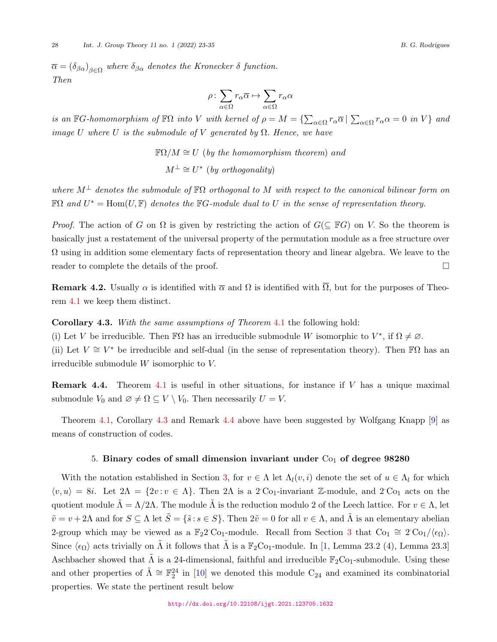$\overline{\alpha} = (\delta_{\beta\alpha})_{\beta \in \Omega}$  where  $\delta_{\beta\alpha}$  denotes the Kronecker  $\delta$  function. *Then*

$$
\rho\colon \sum_{\alpha\in \Omega}r_\alpha\overline{\alpha}\mapsto \sum_{\alpha\in \Omega}r_\alpha\alpha
$$

is an  $\mathbb{F}G$ -homomorphism of  $\mathbb{F}\Omega$  into V with kernel of  $\rho = M = \{\sum_{\alpha \in \Omega} r_{\alpha} \overline{\alpha} \mid \sum_{\alpha \in \Omega} r_{\alpha} \alpha = 0$  in V} and *image U* where *U is the submodule of V generated by*  $\Omega$ *. Hence, we have* 

$$
\mathbb{F}\Omega/M \cong U
$$
 (by the homomorphism theorem) and  

$$
M^{\perp} \cong U^*
$$
 (by orthogonality)

*where M<sup>⊥</sup> denotes the submodule of* FΩ *orthogonal to M with respect to the canonical bilinear form on*  $\mathbb{F}\Omega$  and  $U^* = \text{Hom}(U, \mathbb{F})$  denotes the  $\mathbb{F}G$ *-module dual to*  $U$  *in the sense of representation theory.* 

*Proof.* The action of *G* on  $\Omega$  is given by restricting the action of  $G(\subseteq \mathbb{F}G)$  on *V*. So the theorem is basically just a restatement of the universal property of the permutation module as a free structure over  $\Omega$  using in addition some elementary facts of representation theory and linear algebra. We leave to the reader to complete the details of the proof.  $\Box$ 

**Remark 4.2.** Usually  $\alpha$  is identified with  $\overline{\alpha}$  and  $\Omega$  is identified with  $\overline{\Omega}$ , but for the purposes of Theorem [4.1](#page-4-2) we keep them distinct.

<span id="page-5-0"></span>**Corollary 4.3.** *With the same assumptions of Theorem* [4.1](#page-4-2) the following hold:

(i) Let *V* be irreducible. Then  $\mathbb{F}\Omega$  has an irreducible submodule *W* isomorphic to  $V^*$ , if  $\Omega \neq \emptyset$ . (ii) Let  $V \cong V^*$  be irreducible and self-dual (in the sense of representation theory). Then F $\Omega$  has an irreducible submodule *W* isomorphic to *V.*

<span id="page-5-1"></span>**Remark 4.4.** Theorem [4.1](#page-4-2) is useful in other situations, for instance if *V* has a unique maximal submodule  $V_0$  and  $\emptyset \neq \Omega \subseteq V \setminus V_0$ . Then necessarily  $U = V$ .

Theorem [4.1](#page-4-2), Corollary [4.3](#page-5-0) and Remark [4.4](#page-5-1) above have been suggested by Wolfgang Knapp [\[9\]](#page-11-10) as means of construction of codes.

### 5. Binary codes of small dimension invariant under C<sub>01</sub> of degree 98280

With the notation established in Section [3](#page-3-0), for  $v \in \Lambda$  let  $\Lambda_l(v, i)$  denote the set of  $u \in \Lambda_l$  for which  $\langle v, u \rangle = 8i$ . Let  $2\Lambda = \{2v : v \in \Lambda\}$ . Then  $2\Lambda$  is a 2<sup>*·*</sup>Co<sub>1</sub>-invariant Z-module, and 2<sup>*·*Co<sub>1</sub> acts on the</sup> quotient module  $\tilde{\Lambda} = \Lambda/2\Lambda$ . The module  $\tilde{\Lambda}$  is the reduction modulo 2 of the Leech lattice. For  $v \in \Lambda$ , let  $\tilde{v} = v + 2\Lambda$  and for  $S \subseteq \Lambda$  let  $\tilde{S} = {\tilde{s}: s \in S}$ . Then  $2\tilde{v} = 0$  for all  $v \in \Lambda$ , and  $\tilde{\Lambda}$  is an elementary abelian 2-group which may be viewed as a  $\mathbb{F}_2$ 2 Co<sub>1</sub>-module. Recall from Section [3](#page-3-0) that Co<sub>1</sub>  $\cong$  2 Co<sub>1</sub>/ $\langle \epsilon_{\Omega} \rangle$ . Since  $\langle \epsilon_{\Omega} \rangle$  acts trivially on  $\tilde{\Lambda}$  it follows that  $\tilde{\Lambda}$  is a  $\mathbb{F}_2$ Co<sub>1</sub>-module. In [\[1,](#page-11-5) Lemma 23.2 (4), Lemma 23.3] Aschbacher showed that  $\tilde{\Lambda}$  is a 24-dimensional, faithful and irreducible  $\mathbb{F}_2$ Co<sub>1</sub>-submodule. Using these and other properties of  $\tilde{\Lambda} \cong \mathbb{F}_2^{24}$  in [\[10](#page-11-11)] we denoted this module C<sub>24</sub> and examined its combinatorial properties. We state the pertinent result below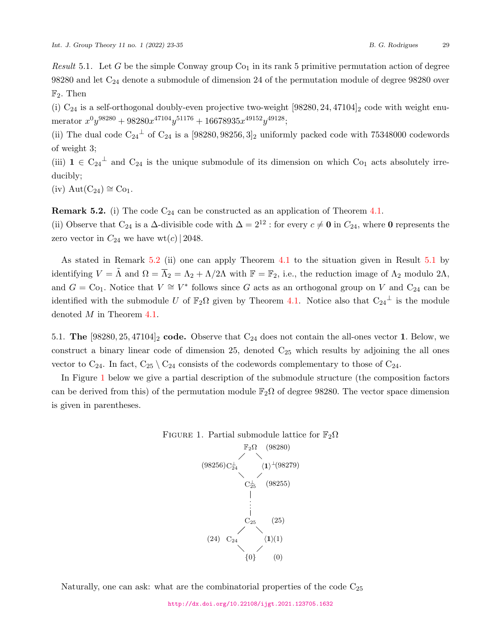<span id="page-6-1"></span>*Result* 5.1. Let  $G$  be the simple Conway group  $Co<sub>1</sub>$  in its rank 5 primitive permutation action of degree  $98280$  and let  $C_{24}$  denote a submodule of dimension 24 of the permutation module of degree  $98280$  over F2*.* Then

(i)  $C_{24}$  is a self-orthogonal doubly-even projective two-weight  $[98280, 24, 47104]_2$  code with weight enu- $\text{merator } x^0 y^{98280} + 98280 x^{47104} y^{51176} + 16678935 x^{49152} y^{49128};$ 

(ii) The dual code  $C_{24}$ <sup> $\perp$ </sup> of  $C_{24}$  is a [98280, 98256, 3]<sub>2</sub> uniformly packed code with 75348000 codewords of weight 3;

(iii)  $\mathbf{1} \in C_{24}^{\perp}$  and  $C_{24}$  is the unique submodule of its dimension on which  $C_{21}$  acts absolutely irreducibly;

 $(iv)$  Aut $(C_{24}) \cong C_{01}$ .

<span id="page-6-0"></span>**Remark 5.2.** (i) The code  $C_{24}$  can be constructed as an application of Theorem [4.1.](#page-4-2)

(ii) Observe that C<sub>24</sub> is a  $\Delta$ -divisible code with  $\Delta = 2^{12}$  : for every  $c \neq 0$  in  $C_{24}$ , where 0 represents the zero vector in  $C_{24}$  we have wt(*c*) | 2048.

As stated in Remark [5.2](#page-6-0) (ii) one can apply Theorem [4.1](#page-4-2) to the situation given in Result [5.1](#page-6-1) by identifying  $V = \tilde{\Lambda}$  and  $\Omega = \overline{\Lambda}_2 = \Lambda_2 + \Lambda/2\Lambda$  with  $\mathbb{F} = \mathbb{F}_2$ , i.e., the reduction image of  $\Lambda_2$  modulo  $2\Lambda$ , and  $G = \text{Co}_1$ . Notice that  $V \cong V^*$  follows since G acts as an orthogonal group on V and C<sub>24</sub> can be identified with the submodule *U* of  $\mathbb{F}_2\Omega$  given by Theorem [4.1.](#page-4-2) Notice also that  $C_{24}$ <sup> $\perp$ </sup> is the module denoted *M* in Theorem [4.1.](#page-4-2)

5.1. **The**  $[98280, 25, 47104]_2$  **code.** Observe that  $C_{24}$  does not contain the all-ones vector 1. Below, we construct a binary linear code of dimension 25, denoted  $C_{25}$  which results by adjoining the all ones vector to  $C_{24}$ . In fact,  $C_{25} \setminus C_{24}$  consists of the codewords complementary to those of  $C_{24}$ .

In Figure [1](#page-6-2) below we give a partial description of the submodule structure (the composition factors can be derived from this) of the permutation module  $\mathbb{F}_2\Omega$  of degree 98280. The vector space dimension is given in parentheses.

<span id="page-6-2"></span>

FIGURE 1. Partial submodule lattice for  $\mathbb{F}_2\Omega$ 

Naturally, one can ask: what are the combinatorial properties of the code  $C_{25}$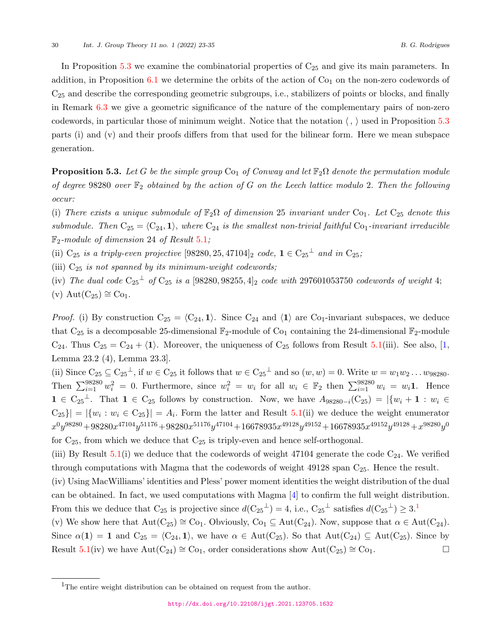In Proposition  $5.3$  we examine the combinatorial properties of  $C_{25}$  and give its main parameters. In addition, in Proposition  $6.1$  we determine the orbits of the action of  $Co<sub>1</sub>$  on the non-zero codewords of C<sup>25</sup> and describe the corresponding geometric subgroups, i.e., stabilizers of points or blocks, and finally in Remark [6.3](#page-10-0) we give a geometric significance of the nature of the complementary pairs of non-zero codewords, in particular those of minimum weight. Notice that the notation *⟨, ⟩* used in Proposition [5.3](#page-7-0) parts (i) and (v) and their proofs differs from that used for the bilinear form. Here we mean subspace generation.

<span id="page-7-0"></span>**Proposition 5.3.** *Let G be the simple group*  $\text{Co}_1$  *of Conway and let*  $\mathbb{F}_2\Omega$  *denote the permutation module of degree* 98280 *over* F<sup>2</sup> *obtained by the action of G on the Leech lattice modulo* 2*. Then the following occur:*

(i) There exists a unique submodule of  $\mathbb{F}_2\Omega$  of dimension 25 invariant under  $\text{Co}_1$ . Let  $\text{C}_{25}$  denote this *submodule. Then*  $C_{25} = \langle C_{24}, 1 \rangle$ *, where*  $C_{24}$  *is the smallest non-trivial faithful*  $C_{01}$ *-invariant irreducible* F2*-module of dimension* 24 *of Result* [5.1](#page-6-1)*;*

(ii)  $C_{25}$  *is a triply-even projective* [98280, 25, 47104]<sub>2</sub> *code*,  $\mathbf{1} \in C_{25}^{\perp}$  *and in*  $C_{25}$ *;* 

(iii) C<sup>25</sup> *is not spanned by its minimum-weight codewords;*

 $(iv)$  *The dual code*  $C_{25}^{\perp}$  *of*  $C_{25}$  *is a* [98280, 98255, 4]<sub>2</sub> *code with* 297601053750 *codewords of weight* 4;  $(v)$  Aut $(C_{25}) \cong Co_1$ .

*Proof.* (i) By construction  $C_{25} = \langle C_{24}, 1 \rangle$ . Since  $C_{24}$  and  $\langle 1 \rangle$  are  $C_{01}$ -invariant subspaces, we deduce that  $C_{25}$  is a decomposable 25-dimensional  $\mathbb{F}_2$ -module of  $C_{01}$  containing the 24-dimensional  $\mathbb{F}_2$ -module  $C_{24}$ . Thus  $C_{25} = C_{24} + \langle 1 \rangle$ . Moreover, the uniqueness of  $C_{25}$  follows from Result [5.1](#page-6-1)(iii). See also, [\[1,](#page-11-5) Lemma 23.2 (4), Lemma 23.3].

(ii) Since  $C_{25} \subseteq C_{25}^{\perp}$ , if  $w \in C_{25}$  it follows that  $w \in C_{25}^{\perp}$  and so  $(w, w) = 0$ . Write  $w = w_1 w_2 ... w_{98280}$ . Then  $\sum_{i=1}^{98280} w_i^2 = 0$ . Furthermore, since  $w_i^2 = w_i$  for all  $w_i \in \mathbb{F}_2$  then  $\sum_{i=1}^{98280} w_i = w_i \mathbf{1}$ . Hence **1** ∈ C<sub>25</sub><sup>⊥</sup>. That **1** ∈ C<sub>25</sub> follows by construction. Now, we have  $A_{98280-i}(C_{25}) = |\{w_i + \mathbf{1} : w_i \in$  $|C_{25}\rangle = |\{w_i : w_i \in C_{25}\}| = A_i$ . Form the latter and Result [5.1\(](#page-6-1)ii) we deduce the weight enumerator  $x^{0}y^{98280} + 98280x^{47104}y^{51176} + 98280x^{51176}y^{47104} + 16678935x^{49128}y^{49152} + 16678935x^{49152}y^{49128} + x^{98280}y^{0816}y^{4916} + 16678935x^{4916}y^{4916} + 16678935x^{4916}y^{4916} + 16678935x^{4916}y^{4916} + 16678935x^{491$ for  $C_{25}$ , from which we deduce that  $C_{25}$  is triply-even and hence self-orthogonal.

(iii) By Result  $5.1(i)$  $5.1(i)$  we deduce that the codewords of weight 47104 generate the code  $C_{24}$ . We verified through computations with Magma that the codewords of weight  $49128$  span  $C_{25}$ . Hence the result.

(iv) Using MacWilliams' identities and Pless' power moment identities the weight distribution of the dual can be obtained. In fact, we used computations with Magma [[4\]](#page-11-12) to confirm the full weight distribution. From this we deduce that  $C_{25}$  is projective since  $d(C_{25}^{\perp}) = 4$ , i.e.,  $C_{25}^{\perp}$  satisfies  $d(C_{25}^{\perp}) \geq 3$ .

(v) We show here that  $Aut(C_{25}) \cong Co_1$ . Obviously,  $Co_1 \subseteq Aut(C_{24})$ . Now, suppose that  $\alpha \in Aut(C_{24})$ . Since  $\alpha(1) = 1$  and  $C_{25} = \langle C_{24}, 1 \rangle$ , we have  $\alpha \in \text{Aut}(C_{25})$ . So that  $\text{Aut}(C_{24}) \subseteq \text{Aut}(C_{25})$ . Since by Result [5.1\(](#page-6-1)iv) we have  $Aut(C_{24}) \cong Co_1$ , order considerations show  $Aut(C_{25}) \cong Co_1$ . □

<span id="page-7-1"></span> $\rm ^1The$  entire weight distribution can be obtained on request from the author.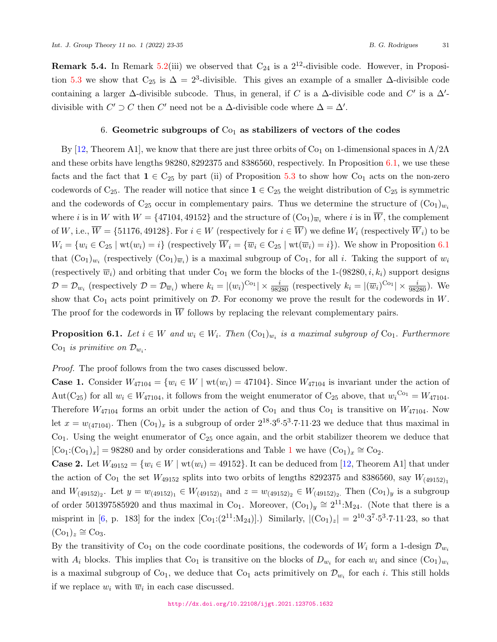**Remark 5.4.** In Remark [5.2](#page-6-0)(iii) we observed that  $C_{24}$  is a  $2^{12}$ -divisible code. However, in Proposi-tion [5.3](#page-7-0) we show that  $C_{25}$  is  $\Delta = 2^3$ -divisible. This gives an example of a smaller  $\Delta$ -divisible code containing a larger  $\Delta$ -divisible subcode. Thus, in general, if *C* is a  $\Delta$ -divisible code and *C'* is a  $\Delta'$ divisible with  $C' \supset C$  then  $C'$  need not be a  $\Delta$ -divisible code where  $\Delta = \Delta'$ .

#### 6. **Geometric subgroups of** Co<sup>1</sup> **as stabilizers of vectors of the codes**

By [[12,](#page-11-9) Theorem A1], we know that there are just three orbits of Co<sub>1</sub> on 1-dimensional spaces in  $Λ/2Λ$ and these orbits have lengths 98280*,* 8292375 and 8386560, respectively. In Proposition [6.1,](#page-8-0) we use these facts and the fact that  $1 \in C_{25}$  by part (ii) of Proposition [5.3](#page-7-0) to show how Co<sub>1</sub> acts on the non-zero codewords of C<sub>25</sub>. The reader will notice that since  $1 \in C_{25}$  the weight distribution of C<sub>25</sub> is symmetric and the codewords of  $C_{25}$  occur in complementary pairs. Thus we determine the structure of  $(C_{01})_{w_i}$ where *i* is in *W* with  $W = \{47104, 49152\}$  and the structure of  $(\text{Co}_1)_{\overline{w}_i}$  where *i* is in  $\overline{W}$ , the complement of *W*, i.e.,  $\overline{W} = \{51176, 49128\}$ . For  $i \in W$  (respectively for  $i \in \overline{W}$ ) we define  $W_i$  (respectively  $\overline{W}_i$ ) to be  $W_i = \{w_i \in C_{25} \mid \text{wt}(w_i) = i\}$  (respectively  $\overline{W}_i = \{\overline{w}_i \in C_{25} \mid \text{wt}(\overline{w}_i) = i\}$ ). We show in Proposition [6.1](#page-8-0) that  $(Co_1)_{w_i}$  (respectively  $(Co_1)_{w_i}$ ) is a maximal subgroup of  $Co_1$ , for all *i*. Taking the support of  $w_i$ (respectively  $\overline{w}_i$ ) and orbiting that under Co<sub>1</sub> we form the blocks of the 1-(98280, *i*,  $k_i$ ) support designs  $\mathcal{D} = \mathcal{D}_{w_i}$  (respectively  $\mathcal{D} = \mathcal{D}_{\overline{w}_i}$ ) where  $k_i = |(w_i)^{\text{Co}_1}| \times \frac{i}{98280}$  (respectively  $k_i = |(\overline{w}_i)^{\text{Co}_1}| \times \frac{i}{98280}$ ). We show that  $Co<sub>1</sub>$  acts point primitively on  $D$ . For economy we prove the result for the codewords in  $W$ . The proof for the codewords in  $\overline{W}$  follows by replacing the relevant complementary pairs.

<span id="page-8-0"></span>**Proposition 6.1.** *Let*  $i \in W$  *and*  $w_i \in W_i$ . *Then*  $(\text{Co}_1)_{w_i}$  *is a maximal subgroup of*  $\text{Co}_1$ *. Furthermore* Co<sub>1</sub> is primitive on  $\mathcal{D}_{w_i}$ .

*Proof.* The proof follows from the two cases discussed below.

**Case 1.** Consider  $W_{47104} = \{w_i \in W \mid wt(w_i) = 47104\}$ . Since  $W_{47104}$  is invariant under the action of Aut(C<sub>25</sub>) for all  $w_i \in W_{47104}$ , it follows from the weight enumerator of C<sub>25</sub> above, that  $w_i^{\text{Co}_1} = W_{47104}$ . Therefore  $W_{47104}$  forms an orbit under the action of Co<sub>1</sub> and thus Co<sub>1</sub> is transitive on  $W_{47104}$ . Now let  $x = w_{(47104)}$ . Then  $(\text{Co}_1)_x$  is a subgroup of order  $2^{18} \cdot 3^6 \cdot 5^3 \cdot 7 \cdot 11 \cdot 23$  we deduce that thus maximal in  $Co<sub>1</sub>$ . Using the weight enumerator of  $C<sub>25</sub>$  once again, and the orbit stabilizer theorem we deduce that  $[Co_1:(Co_1)_x] = 98280$  $[Co_1:(Co_1)_x] = 98280$  $[Co_1:(Co_1)_x] = 98280$  and by order considerations and Table 1 we have  $(Co_1)_x \cong Co_2$ .

**Case 2.** Let  $W_{49152} = \{w_i \in W \mid wt(w_i) = 49152\}$ . It can be deduced from [[12,](#page-11-9) Theorem A1] that under the action of Co<sub>1</sub> the set  $W_{49152}$  splits into two orbits of lengths 8292375 and 8386560, say  $W_{(49152)_1}$ and  $W_{(49152)_2}$ . Let  $y = w_{(49152)_1} \in W_{(49152)_1}$  and  $z = w_{(49152)_2} \in W_{(49152)_2}$ . Then  $(\text{Co}_1)_y$  is a subgroup of order 501397585920 and thus maximal in Co<sub>1</sub>. Moreover,  $(Co_1)_y \approx 2^{11}$ :M<sub>24</sub>. (Note that there is a misprint in [\[6,](#page-11-4) p. 183] for the index  $[Co_1:(2^{11}:M_{24})]$ .) Similarly,  $|(Co_1)_z| = 2^{10} \cdot 3^7 \cdot 5^3 \cdot 7 \cdot 11 \cdot 23$ , so that  $(\text{Co}_1)_z \cong \text{Co}_3.$ 

By the transitivity of C<sub>O<sub>1</sub></sub> on the code coordinate positions, the codewords of  $W_i$  form a 1-design  $\mathcal{D}_{w_i}$ with  $A_i$  blocks. This implies that  $\text{Co}_1$  is transitive on the blocks of  $D_{w_i}$  for each  $w_i$  and since  $(\text{Co}_1)_{w_i}$ is a maximal subgroup of  $Co_1$ , we deduce that  $Co_1$  acts primitively on  $\mathcal{D}_{w_i}$  for each *i*. This still holds if we replace  $w_i$  with  $\overline{w}_i$  in each case discussed.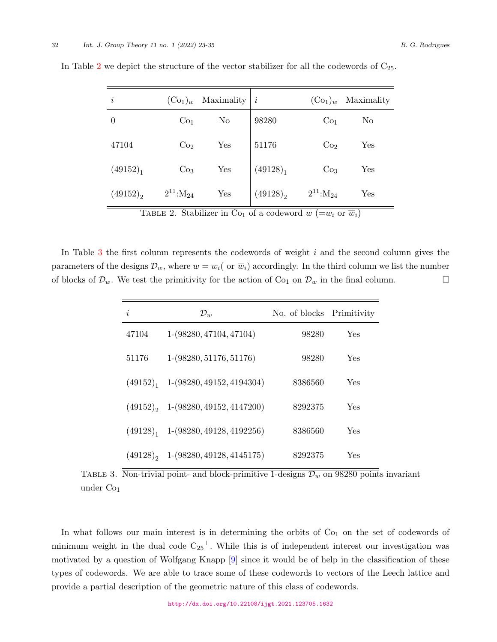| $\dot{\imath}$ | $(\mathrm{Co}_1)_w$ | Maximality | $\iota$              | $(\mathrm{Co}_1)_w$ | Maximality |
|----------------|---------------------|------------|----------------------|---------------------|------------|
| $\overline{0}$ | Co <sub>1</sub>     | No         | 98280                | Co <sub>1</sub>     | No         |
| 47104          | Co <sub>2</sub>     | Yes        | 51176                | Co <sub>2</sub>     | Yes        |
| $(49152)_1$    | Co <sub>3</sub>     | Yes        | (49128) <sub>1</sub> | Co <sub>3</sub>     | Yes        |
| $(49152)_{2}$  | $2^{11}$ : $M_{24}$ | Yes        | $(49128)_{2}$        | $2^{11}$ : $M_{24}$ | Yes        |

In Table [2](#page-9-0) we depict the structure of the vector stabilizer for all the codewords of  $C_{25}$ .

<span id="page-9-0"></span>TABLE 2. Stabilizer in Co<sub>1</sub> of a codeword  $w (=w_i \text{ or } \overline{w}_i)$ 

In Table [3](#page-9-1) the first column represents the codewords of weight *i* and the second column gives the parameters of the designs  $\mathcal{D}_w$ , where  $w = w_i$  ( or  $\overline{w}_i$ ) accordingly. In the third column we list the number of blocks of  $\mathcal{D}_w$ . We test the primitivity for the action of Co<sub>1</sub> on  $\mathcal{D}_w$  in the final column. □

| i     | $\mathcal{D}_w$                                     | No. of blocks Primitivity |     |
|-------|-----------------------------------------------------|---------------------------|-----|
| 47104 | $1-(98280, 47104, 47104)$                           | 98280                     | Yes |
| 51176 | $1-(98280, 51176, 51176)$                           | 98280                     | Yes |
|       | $(49152)1$ 1- $(98280, 49152, 4194304)$             | 8386560                   | Yes |
|       | $(49152)$ , 1- $(98280, 49152, 4147200)$            | 8292375                   | Yes |
|       | $(49128)$ <sub>1</sub> 1- $(98280, 49128, 4192256)$ | 8386560                   | Yes |
|       | $(49128)$ , 1- $(98280, 49128, 4145175)$            | 8292375                   | Yes |

<span id="page-9-1"></span>TABLE 3. Non-trivial point- and block-primitive 1-designs  $\mathcal{D}_w$  on 98280 points invariant under  $Co<sub>1</sub>$ 

In what follows our main interest is in determining the orbits of  $Co<sub>1</sub>$  on the set of codewords of minimum weight in the dual code  $C_{25}$ <sup> $\perp$ </sup>. While this is of independent interest our investigation was motivated by a question of Wolfgang Knapp [[9](#page-11-10)] since it would be of help in the classification of these types of codewords. We are able to trace some of these codewords to vectors of the Leech lattice and provide a partial description of the geometric nature of this class of codewords.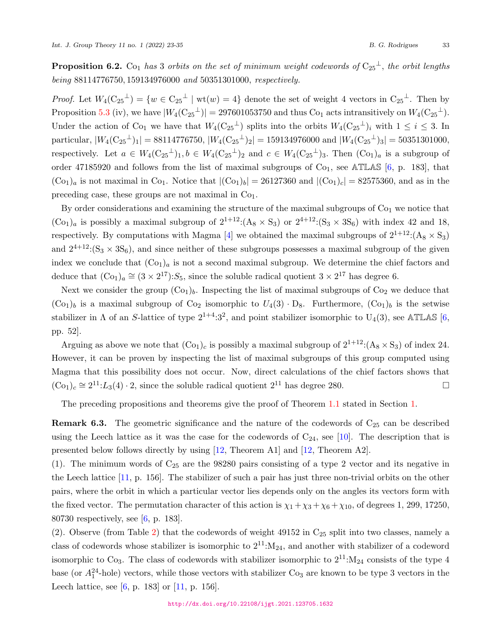<span id="page-10-1"></span>**Proposition 6.2.** Co<sub>1</sub> *has* 3 *orbits on the set of minimum weight codewords of*  $C_{25}$ <sup> $\perp$ </sup>, *the orbit lengths being* 88114776750*,* 159134976000 *and* 50351301000*, respectively.*

*Proof.* Let  $W_4(C_{25}^{\perp}) = \{w \in C_{25}^{\perp} \mid wt(w) = 4\}$  denote the set of weight 4 vectors in  $C_{25}^{\perp}$ . Then by Proposition [5.3](#page-7-0) (iv), we have  $|W_4(C_{25}^{\perp})| = 297601053750$  and thus  $C_{01}$  acts intransitively on  $W_4(C_{25}^{\perp})$ . Under the action of Co<sub>1</sub> we have that  $W_4(C_{25}^{\perp})$  splits into the orbits  $W_4(C_{25}^{\perp})_i$  with  $1 \leq i \leq 3$ . In  $\text{particular, } |W_4(\text{C}_{25}^{\perp})_1| = 88114776750, |W_4(\text{C}_{25}^{\perp})_2| = 159134976000 \text{ and } |W_4(\text{C}_{25}^{\perp})_3| = 50351301000,$ respectively. Let  $a \in W_4(\mathrm{C}_{25}{}^{\perp})_1, b \in W_4(\mathrm{C}_{25}{}^{\perp})_2$  and  $c \in W_4(\mathrm{C}_{25}{}^{\perp})_3$ . Then  $(\mathrm{C}_{01})_a$  is a subgroup of order 47185920 and follows from the list of maximal subgroups of  $Co<sub>1</sub>$ , see ATLAS [\[6,](#page-11-4) p. 183], that  $(C_{01})_a$  is not maximal in C<sub>01</sub>. Notice that  $|(C_{01})_b| = 26127360$  and  $|(C_{01})_c| = 82575360$ , and as in the preceding case, these groups are not maximal in  $Co<sub>1</sub>$ .

By order considerations and examining the structure of the maximal subgroups of  $Co<sub>1</sub>$  we notice that  $(Co_1)_a$  is possibly a maximal subgroup of  $2^{1+12}:(A_8 \times S_3)$  or  $2^{4+12}:(S_3 \times 3S_6)$  with index 42 and 18, respectively. By computations with Magma [[4](#page-11-12)] we obtained the maximal subgroups of  $2^{1+12}$ : (A<sub>8</sub>  $\times$  S<sub>3</sub>) and  $2^{4+12}$ :(S<sub>3</sub>  $\times$  3S<sub>6</sub>), and since neither of these subgroups possesses a maximal subgroup of the given index we conclude that  $(Co_1)_a$  is not a second maximal subgroup. We determine the chief factors and deduce that  $(C_{01})_a \cong (3 \times 2^{17})$ : *S*<sub>5</sub>, since the soluble radical quotient  $3 \times 2^{17}$  has degree 6.

Next we consider the group  $(Co_1)_b$ . Inspecting the list of maximal subgroups of  $Co_2$  we deduce that  $(Co_1)_b$  is a maximal subgroup of  $Co_2$  isomorphic to  $U_4(3) \cdot D_8$ . Furthermore,  $(Co_1)_b$  is the setwise stabilizer in  $\Lambda$  of an *S*-lattice of type  $2^{1+4} \cdot 3^2$ , and point stabilizer isomorphic to U<sub>4</sub>(3), see ATLAS [\[6,](#page-11-4) pp. 52].

Arguing as above we note that  $(Co_1)_c$  is possibly a maximal subgroup of  $2^{1+12}$ : $(A_8 \times S_3)$  of index 24. However, it can be proven by inspecting the list of maximal subgroups of this group computed using Magma that this possibility does not occur. Now, direct calculations of the chief factors shows that  $(Co<sub>1</sub>)<sub>c</sub> ≅ 2<sup>11</sup>: L<sub>3</sub>(4) · 2$ , since the soluble radical quotient  $2<sup>11</sup>$  has degree 280. □

The preceding propositions and theorems give the proof of Theorem [1.1](#page-1-1) stated in Section [1.](#page-0-0)

<span id="page-10-0"></span>**Remark 6.3.** The geometric significance and the nature of the codewords of  $C_{25}$  can be described using the Leech lattice as it was the case for the codewords of  $C_{24}$ , see [\[10](#page-11-11)]. The description that is presented below follows directly by using [[12](#page-11-9), Theorem A1] and [[12,](#page-11-9) Theorem A2].

(1). The minimum words of  $C_{25}$  are the 98280 pairs consisting of a type 2 vector and its negative in the Leech lattice [[11,](#page-11-8) p. 156]. The stabilizer of such a pair has just three non-trivial orbits on the other pairs, where the orbit in which a particular vector lies depends only on the angles its vectors form with the fixed vector. The permutation character of this action is  $\chi_1 + \chi_3 + \chi_6 + \chi_{10}$ , of degrees 1, 299, 17250, 80730 respectively, see [[6](#page-11-4), p. 183].

([2](#page-9-0)). Observe (from Table 2) that the codewords of weight 49152 in  $C_{25}$  split into two classes, namely a class of codewords whose stabilizer is isomorphic to  $2^{11}$ :  $M_{24}$ , and another with stabilizer of a codeword isomorphic to Co<sub>3</sub>. The class of codewords with stabilizer isomorphic to  $2^{11}$ : $M_{24}$  consists of the type 4 base (or  $A_1^{24}$ -hole) vectors, while those vectors with stabilizer  $Co_3$  are known to be type 3 vectors in the Leech lattice, see [\[6,](#page-11-4) p. 183] or [[11,](#page-11-8) p. 156].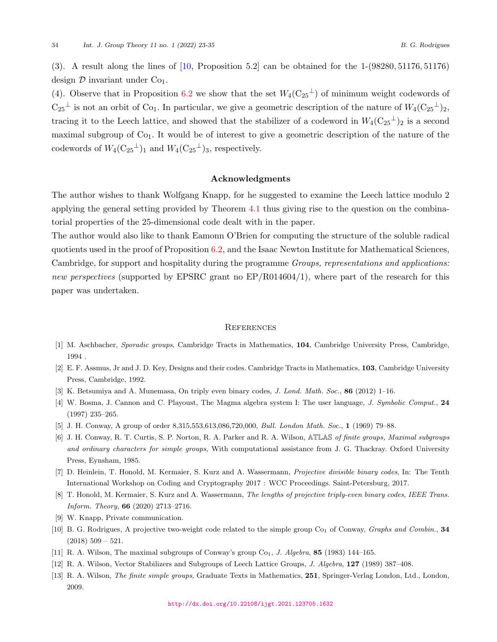(3). A result along the lines of [[10,](#page-11-11) Proposition 5.2] can be obtained for the 1-(98280*,* 51176*,* 51176) design  $D$  invariant under  $Co<sub>1</sub>$ .

(4). Observe that in Proposition [6.2](#page-10-1) we show that the set  $W_4(C_{25}^{\perp})$  of minimum weight codewords of  $C_{25}$ <sup> $\perp$ </sup> is not an orbit of Co<sub>1</sub>. In particular, we give a geometric description of the nature of  $W_4(C_{25}^{\perp})_2$ , tracing it to the Leech lattice, and showed that the stabilizer of a codeword in  $W_4(C_{25}^{\{-1\}})$  is a second maximal subgroup of  $Co<sub>1</sub>$ . It would be of interest to give a geometric description of the nature of the codewords of  $W_4(\mathrm{C}_{25}^{\perp})_1$  and  $W_4(\mathrm{C}_{25}^{\perp})_3$ , respectively.

#### **Acknowledgments**

The author wishes to thank Wolfgang Knapp, for he suggested to examine the Leech lattice modulo 2 applying the general setting provided by Theorem [4.1](#page-4-2) thus giving rise to the question on the combinatorial properties of the 25-dimensional code dealt with in the paper.

The author would also like to thank Eamonn O'Brien for computing the structure of the soluble radical quotients used in the proof of Proposition [6.2](#page-10-1), and the Isaac Newton Institute for Mathematical Sciences, Cambridge, for support and hospitality during the programme *Groups, representations and applications: new perspectives* (supported by EPSRC grant no EP/R014604/1), where part of the research for this paper was undertaken.

#### **REFERENCES**

- <span id="page-11-5"></span>[1] M. Aschbacher, *Sporadic groups*, Cambridge Tracts in Mathematics, **104**, Cambridge University Press, Cambridge, 1994 .
- <span id="page-11-3"></span>[2] E. F. Assmus, Jr and J. D. Key, Designs and their codes. Cambridge Tracts in Mathematics, **103**, Cambridge University Press, Cambridge, 1992.
- <span id="page-11-0"></span>[3] K. Betsumiya and A. Munemasa, On triply even binary codes, *J. Lond. Math. Soc.*, **86** (2012) 1–16.
- <span id="page-11-12"></span>[4] W. Bosma, J. Cannon and C. Playoust, The Magma algebra system I: The user language, *J. Symbolic Comput.*, **24** (1997) 235–265.
- <span id="page-11-7"></span>[5] J. H. Conway, A group of order 8,315,553,613,086,720,000, *Bull. London Math. Soc.*, **1** (1969) 79–88.
- <span id="page-11-4"></span>[6] J. H. Conway, R. T. Curtis, S. P. Norton, R. A. Parker and R. A. Wilson, ATLAS *of finite groups, Maximal subgroups and ordinary characters for simple groups*, With computational assistance from J. G. Thackray. Oxford University Press, Eynsham, 1985.
- <span id="page-11-1"></span>[7] D. Heinlein, T. Honold, M. Kermaier, S. Kurz and A. Wassermann, *Projective divisible binary codes*, In: The Tenth International Workshop on Coding and Cryptography 2017 : WCC Proceedings. Saint-Petersburg, 2017.
- <span id="page-11-2"></span>[8] T. Honold, M. Kermaier, S. Kurz and A. Wassermann, *The lengths of projective triply-even binary codes*, *IEEE Trans. Inform. Theory*, **66** (2020) 2713–2716.
- <span id="page-11-10"></span>[9] W. Knapp, Private communication.
- <span id="page-11-11"></span>[10] B. G. Rodrigues, A projective two-weight code related to the simple group Co<sub>1</sub> of Conway, *Graphs and Combin.*, 34  $(2018)$  509 – 521.
- <span id="page-11-8"></span>[11] R. A. Wilson, The maximal subgroups of Conway's group  $Co<sub>1</sub>$ , *J. Algebra*, **85** (1983) 144–165.
- <span id="page-11-9"></span>[12] R. A. Wilson, Vector Stabilizers and Subgroups of Leech Lattice Groups, *J. Algebra*, **127** (1989) 387–408.
- <span id="page-11-6"></span>[13] R. A. Wilson, *The finite simple groups*, Graduate Texts in Mathematics, **251**, Springer-Verlag London, Ltd., London, 2009.